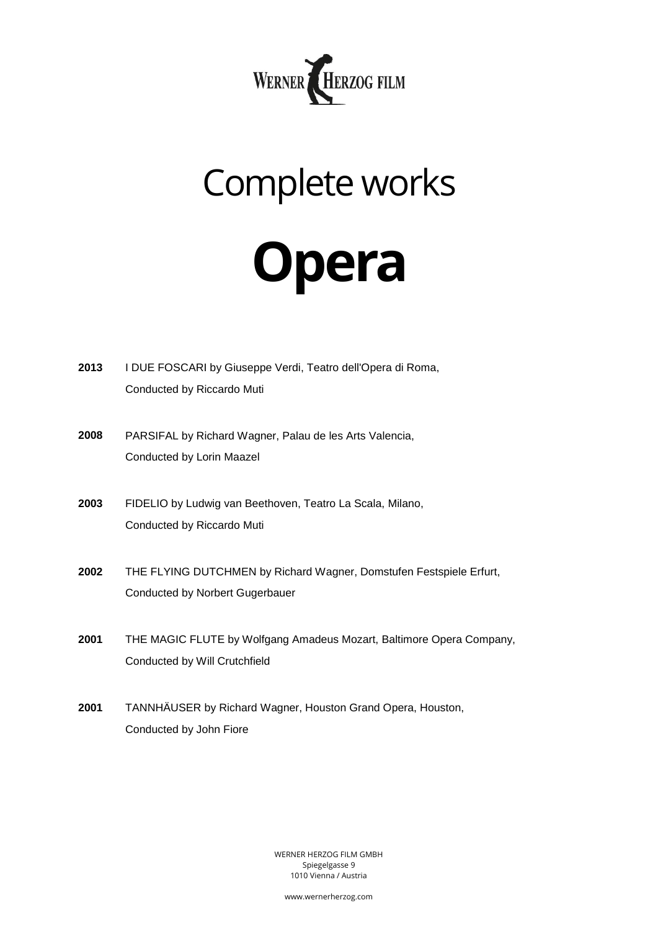

## Complete works

## **Opera**

| 2013 | I DUE FOSCARI by Giuseppe Verdi, Teatro dell'Opera di Roma,<br>Conducted by Riccardo Muti              |
|------|--------------------------------------------------------------------------------------------------------|
| 2008 | PARSIFAL by Richard Wagner, Palau de les Arts Valencia,<br>Conducted by Lorin Maazel                   |
| 2003 | FIDELIO by Ludwig van Beethoven, Teatro La Scala, Milano,<br>Conducted by Riccardo Muti                |
| 2002 | THE FLYING DUTCHMEN by Richard Wagner, Domstufen Festspiele Erfurt,<br>Conducted by Norbert Gugerbauer |
| 2001 | THE MAGIC FLUTE by Wolfgang Amadeus Mozart, Baltimore Opera Company,<br>Conducted by Will Crutchfield  |
| 2001 | TANNHÄUSER by Richard Wagner, Houston Grand Opera, Houston,<br>Conducted by John Fiore                 |

WERNER HERZOG FILM GMBH Spiegelgasse 9 1010 Vienna / Austria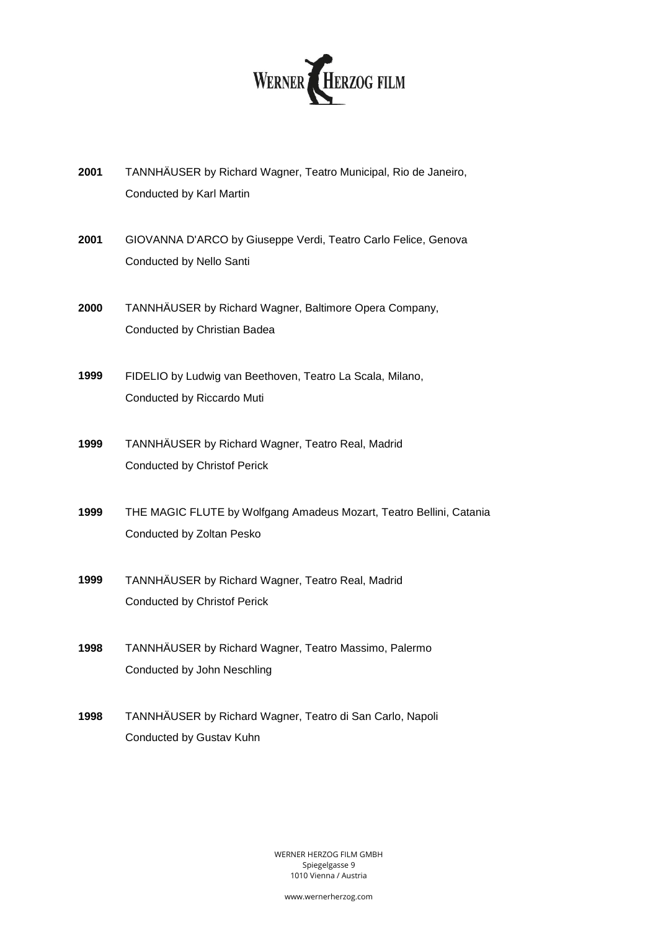

- **2001** TANNHÄUSER by Richard Wagner, Teatro Municipal, Rio de Janeiro, Conducted by Karl Martin
- **2001** GIOVANNA D'ARCO by Giuseppe Verdi, Teatro Carlo Felice, Genova Conducted by Nello Santi
- **2000** TANNHÄUSER by Richard Wagner, Baltimore Opera Company, Conducted by Christian Badea
- **1999** FIDELIO by Ludwig van Beethoven, Teatro La Scala, Milano, Conducted by Riccardo Muti
- **1999** TANNHÄUSER by Richard Wagner, Teatro Real, Madrid Conducted by Christof Perick
- **1999** THE MAGIC FLUTE by Wolfgang Amadeus Mozart, Teatro Bellini, Catania Conducted by Zoltan Pesko
- **1999** TANNHÄUSER by Richard Wagner, Teatro Real, Madrid Conducted by Christof Perick
- **1998** TANNHÄUSER by Richard Wagner, Teatro Massimo, Palermo Conducted by John Neschling
- **1998** TANNHÄUSER by Richard Wagner, Teatro di San Carlo, Napoli Conducted by Gustav Kuhn

WERNER HERZOG FILM GMBH Spiegelgasse 9 1010 Vienna / Austria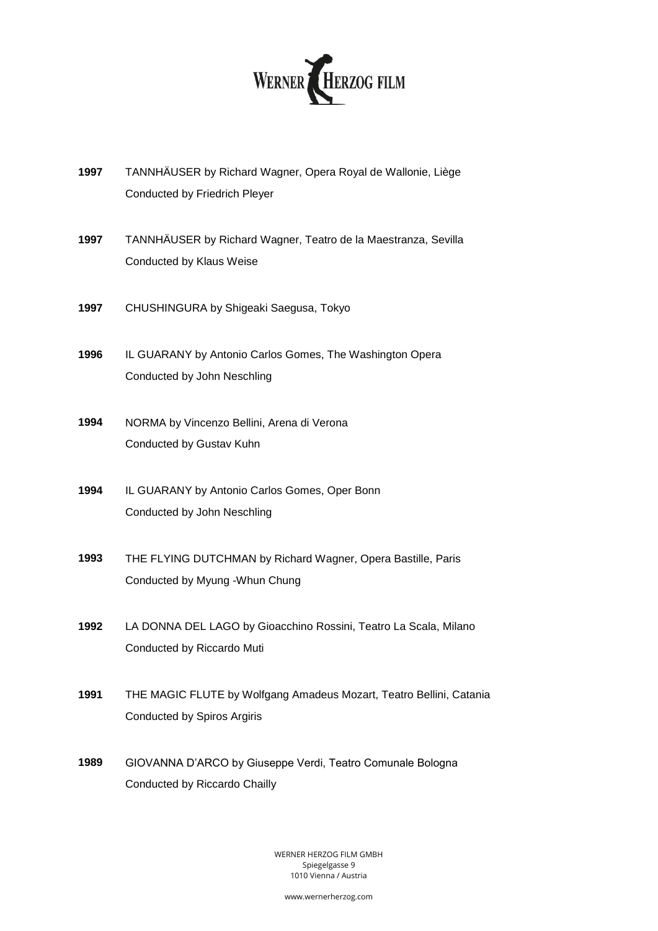

- **1997** TANNHÄUSER by Richard Wagner, Opera Royal de Wallonie, Liège Conducted by Friedrich Pleyer
- **1997** TANNHÄUSER by Richard Wagner, Teatro de la Maestranza, Sevilla Conducted by Klaus Weise
- **1997** CHUSHINGURA by Shigeaki Saegusa, Tokyo
- **1996** IL GUARANY by Antonio Carlos Gomes, The Washington Opera Conducted by John Neschling
- **1994** NORMA by Vincenzo Bellini, Arena di Verona Conducted by Gustav Kuhn
- **1994** IL GUARANY by Antonio Carlos Gomes, Oper Bonn Conducted by John Neschling
- **1993** THE FLYING DUTCHMAN by Richard Wagner, Opera Bastille, Paris Conducted by Myung -Whun Chung
- **1992** LA DONNA DEL LAGO by Gioacchino Rossini, Teatro La Scala, Milano Conducted by Riccardo Muti
- **1991** THE MAGIC FLUTE by Wolfgang Amadeus Mozart, Teatro Bellini, Catania Conducted by Spiros Argiris
- **1989** GIOVANNA D'ARCO by Giuseppe Verdi, Teatro Comunale Bologna Conducted by Riccardo Chailly

WERNER HERZOG FILM GMBH Spiegelgasse 9 1010 Vienna / Austria